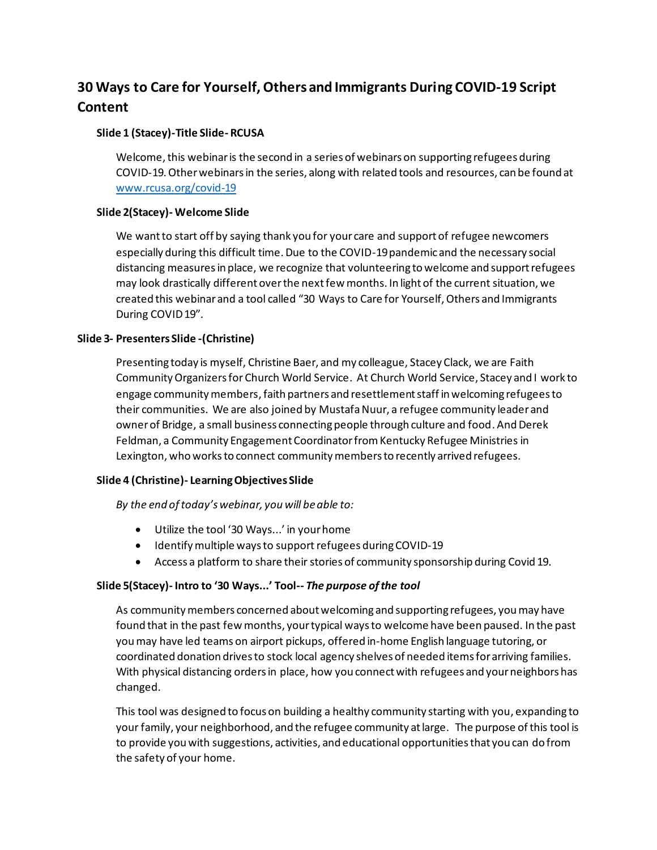# **30 Ways to Care for Yourself, Others and Immigrants During COVID-19 Script Content**

# **Slide 1 (Stacey)-Title Slide- RCUSA**

Welcome, this webinar is the second in a series of webinars on supporting refugees during COVID-19. Other webinars in the series, along with related tools and resources, can be found at [www.rcusa.org/covid-19](http://www.rcusa.org/covid-19)

#### **Slide 2(Stacey)- Welcome Slide**

We want to start off by saying thank you for your care and support of refugee newcomers especially during this difficult time. Due to the COVID-19 pandemic and the necessary social distancing measures in place, we recognize that volunteering to welcome and support refugees may look drastically different over the next few months. In light of the current situation, we created this webinar and a tool called "30 Ways to Care for Yourself, Others and Immigrants During COVID 19".

#### **Slide 3- Presenters Slide -(Christine)**

Presenting today is myself, Christine Baer, and my colleague, Stacey Clack, we are Faith Community Organizers for Church World Service. At Church World Service, Stacey and I work to engage community members, faith partners and resettlement staff in welcoming refugees to their communities. We are also joined by Mustafa Nuur, a refugee community leader and owner of Bridge, a small business connecting people through culture and food. And Derek Feldman, a Community Engagement Coordinator from Kentucky Refugee Ministries in Lexington, who works to connect community members to recently arrived refugees.

# **Slide 4 (Christine)- Learning Objectives Slide**

*By the end of today's webinar, you will be able to:* 

- Utilize the tool '30 Ways...' in your home
- Identify multiple ways to support refugees during COVID-19
- Access a platform to share their stories of community sponsorship during Covid 19.

#### **Slide 5(Stacey)- Intro to '30 Ways...' Tool--** *The purpose of the tool*

As community members concerned about welcoming and supporting refugees, you may have found that in the past few months, your typical ways to welcome have been paused. In the past youmay have led teams on airport pickups, offered in-home English language tutoring, or coordinated donation drives to stock local agency shelves of needed items for arriving families. With physical distancing orders in place, how you connect with refugees and your neighbors has changed.

This tool was designed to focus on building a healthy community starting with you, expanding to your family, your neighborhood, and the refugee community at large. The purpose of this tool is to provide you with suggestions, activities, and educational opportunities that you can do from the safety of your home.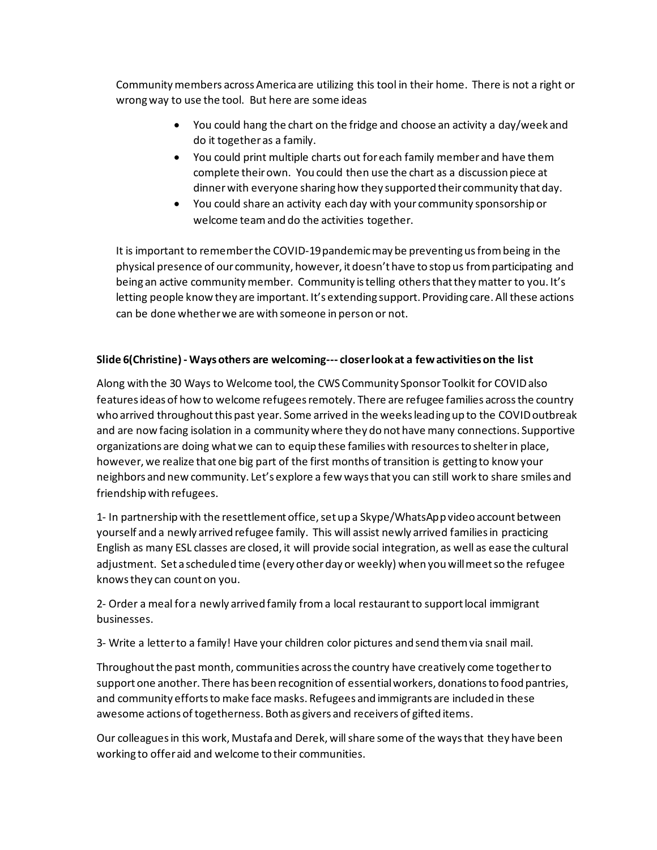Community members across America are utilizing this tool in their home. There is not a right or wrong way to use the tool. But here are some ideas

- You could hang the chart on the fridge and choose an activity a day/week and do it together as a family.
- You could print multiple charts out for each family member and have them complete their own. You could then use the chart as a discussion piece at dinnerwith everyone sharing how they supported their community that day.
- You could share an activity each day with your community sponsorship or welcome teamand do the activities together.

It is important to remember the COVID-19 pandemic may be preventing us from being in the physical presence of our community, however, it doesn't have to stop us from participating and being an active community member. Community is telling others that they matter to you. It's letting people know they are important. It's extending support. Providing care. All these actions can be done whether we are with someone in person or not.

# **Slide 6(Christine) - Ways others are welcoming--- closer look at a few activities on the list**

Along with the 30 Ways to Welcome tool, the CWS Community Sponsor Toolkit for COVID also features ideas of how to welcome refugees remotely. There are refugee families across the country who arrived throughout this past year. Some arrived in the weeks leading up to the COVID outbreak and are now facing isolation in a community where they do not have many connections. Supportive organizations are doing what we can to equip these families with resources to shelter in place, however, we realize that one big part of the first months of transition is getting to know your neighbors and new community. Let's explore a few ways that you can still work to share smiles and friendship with refugees.

1- In partnership with the resettlement office, set up a Skype/WhatsApp video account between yourself and a newly arrived refugee family. This will assist newly arrived families in practicing English as many ESL classes are closed, it will provide social integration, as well as ease the cultural adjustment. Set a scheduled time (every other day or weekly) when you will meet so the refugee knows they can count on you.

2- Order a meal for a newly arrived family from a local restaurant to support local immigrant businesses.

3- Write a letter to a family! Have your children color pictures and send them via snail mail.

Throughout the past month, communities across the country have creatively come together to support one another. There has been recognition of essential workers, donations to food pantries, and community efforts to make face masks. Refugees and immigrants are included in these awesome actions of togetherness. Both as givers and receivers of gifted items.

Our colleagues in this work, Mustafa and Derek, will share some of the ways that they have been working to offer aid and welcome to their communities.